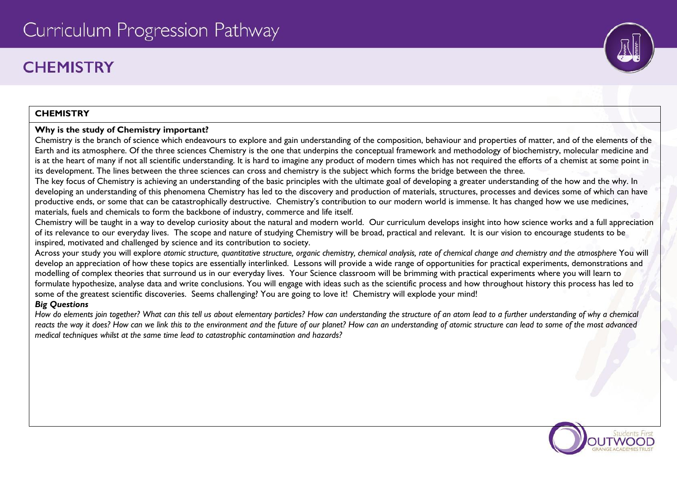# Curriculum Progression Pathway

## **CHEMISTRY**

### **CHEMISTRY**

#### **Why is the study of Chemistry important?**

Chemistry is the branch of science which endeavours to explore and gain understanding of the composition, behaviour and properties of matter, and of the elements of the Earth and its atmosphere. Of the three sciences Chemistry is the one that underpins the conceptual framework and methodology of biochemistry, molecular medicine and is at the heart of many if not all scientific understanding. It is hard to imagine any product of modern times which has not required the efforts of a chemist at some point in its development. The lines between the three sciences can cross and chemistry is the subject which forms the bridge between the three.

The key focus of Chemistry is achieving an understanding of the basic principles with the ultimate goal of developing a greater understanding of the how and the why. In developing an understanding of this phenomena Chemistry has led to the discovery and production of materials, structures, processes and devices some of which can have productive ends, or some that can be catastrophically destructive. Chemistry's contribution to our modern world is immense. It has changed how we use medicines, materials, fuels and chemicals to form the backbone of industry, commerce and life itself.

Chemistry will be taught in a way to develop curiosity about the natural and modern world. Our curriculum develops insight into how science works and a full appreciation of its relevance to our everyday lives. The scope and nature of studying Chemistry will be broad, practical and relevant. It is our vision to encourage students to be inspired, motivated and challenged by science and its contribution to society.

Across your study you will explore *atomic structure, quantitative structure, organic chemistry, chemical analysis, rate of chemical change and chemistry and the atmosphere* You will develop an appreciation of how these topics are essentially interlinked. Lessons will provide a wide range of opportunities for practical experiments, demonstrations and modelling of complex theories that surround us in our everyday lives. Your Science classroom will be brimming with practical experiments where you will learn to formulate hypothesize, analyse data and write conclusions. You will engage with ideas such as the scientific process and how throughout history this process has led to some of the greatest scientific discoveries. Seems challenging? You are going to love it! Chemistry will explode your mind!

### *Big Questions*

*How do elements join together? What can this tell us about elementary particles? How can understanding the structure of an atom lead to a further understanding of why a chemical reacts the way it does? How can we link this to the environment and the future of our planet? How can an understanding of atomic structure can lead to some of the most advanced medical techniques whilst at the same time lead to catastrophic contamination and hazards?*



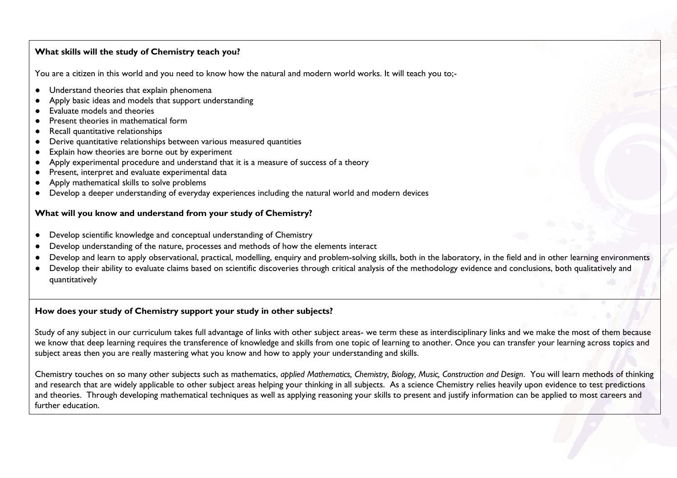#### **What skills will the study of Chemistry teach you?**

You are a citizen in this world and you need to know how the natural and modern world works. It will teach you to;-

- Understand theories that explain phenomena
- Apply basic ideas and models that support understanding
- Evaluate models and theories
- Present theories in mathematical form
- Recall quantitative relationships
- Derive quantitative relationships between various measured quantities
- Explain how theories are borne out by experiment
- Apply experimental procedure and understand that it is a measure of success of a theory
- Present, interpret and evaluate experimental data
- Apply mathematical skills to solve problems
- Develop a deeper understanding of everyday experiences including the natural world and modern devices

#### **What will you know and understand from your study of Chemistry?**

- Develop scientific knowledge and conceptual understanding of Chemistry
- Develop understanding of the nature, processes and methods of how the elements interact
- Develop and learn to apply observational, practical, modelling, enquiry and problem-solving skills, both in the laboratory, in the field and in other learning environments
- Develop their ability to evaluate claims based on scientific discoveries through critical analysis of the methodology evidence and conclusions, both qualitatively and quantitatively

#### **How does your study of Chemistry support your study in other subjects?**

Study of any subject in our curriculum takes full advantage of links with other subject areas- we term these as interdisciplinary links and we make the most of them because we know that deep learning requires the transference of knowledge and skills from one topic of learning to another. Once you can transfer your learning across topics and subject areas then you are really mastering what you know and how to apply your understanding and skills.

Chemistry touches on so many other subjects such as mathematics, *applied Mathematics, Chemistry, Biology, Music, Construction and Design*. You will learn methods of thinking and research that are widely applicable to other subject areas helping your thinking in all subjects. As a science Chemistry relies heavily upon evidence to test predictions and theories. Through developing mathematical techniques as well as applying reasoning your skills to present and justify information can be applied to most careers and further education.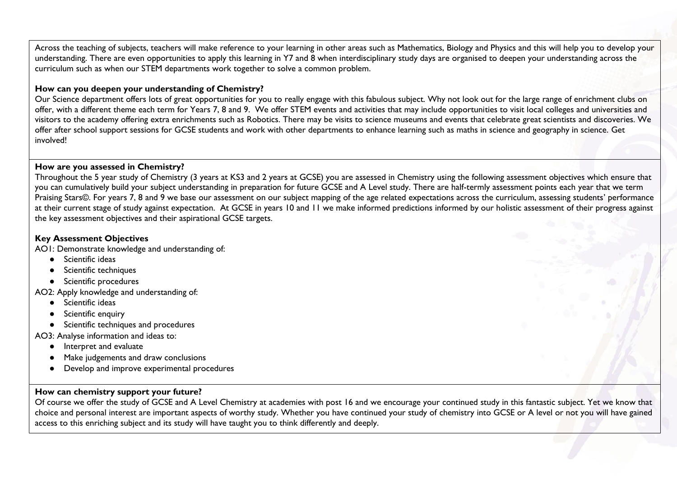Across the teaching of subjects, teachers will make reference to your learning in other areas such as Mathematics, Biology and Physics and this will help you to develop your understanding. There are even opportunities to apply this learning in Y7 and 8 when interdisciplinary study days are organised to deepen your understanding across the curriculum such as when our STEM departments work together to solve a common problem.

#### **How can you deepen your understanding of Chemistry?**

Our Science department offers lots of great opportunities for you to really engage with this fabulous subject. Why not look out for the large range of enrichment clubs on offer, with a different theme each term for Years 7, 8 and 9. We offer STEM events and activities that may include opportunities to visit local colleges and universities and visitors to the academy offering extra enrichments such as Robotics. There may be visits to science museums and events that celebrate great scientists and discoveries. We offer after school support sessions for GCSE students and work with other departments to enhance learning such as maths in science and geography in science. Get involved!

#### **How are you assessed in Chemistry?**

Throughout the 5 year study of Chemistry (3 years at KS3 and 2 years at GCSE) you are assessed in Chemistry using the following assessment objectives which ensure that you can cumulatively build your subject understanding in preparation for future GCSE and A Level study. There are half-termly assessment points each year that we term Praising Stars©. For years 7, 8 and 9 we base our assessment on our subject mapping of the age related expectations across the curriculum, assessing students' performance at their current stage of study against expectation. At GCSE in years 10 and 11 we make informed predictions informed by our holistic assessment of their progress against the key assessment objectives and their aspirational GCSE targets.

#### **Key Assessment Objectives**

AO1: Demonstrate knowledge and understanding of:

- Scientific ideas
- Scientific techniques
- Scientific procedures

AO2: Apply knowledge and understanding of:

- Scientific ideas
- Scientific enquiry
- Scientific techniques and procedures

AO3: Analyse information and ideas to:

- Interpret and evaluate
- Make judgements and draw conclusions
- Develop and improve experimental procedures

#### **How can chemistry support your future?**

Of course we offer the study of GCSE and A Level Chemistry at academies with post 16 and we encourage your continued study in this fantastic subject. Yet we know that choice and personal interest are important aspects of worthy study. Whether you have continued your study of chemistry into GCSE or A level or not you will have gained access to this enriching subject and its study will have taught you to think differently and deeply.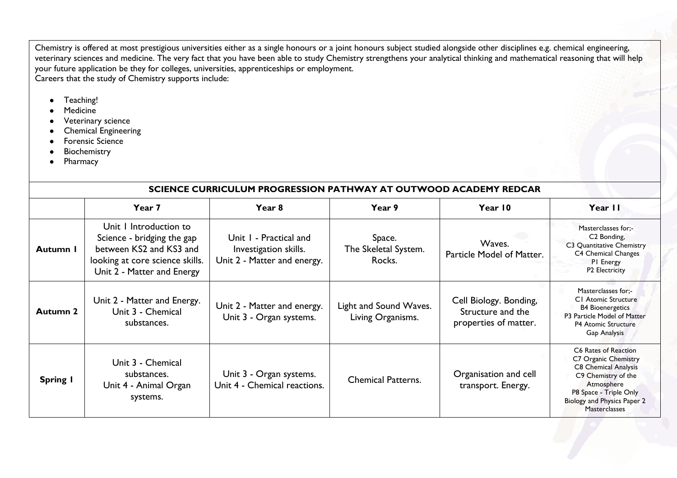Chemistry is offered at most prestigious universities either as a single honours or a joint honours subject studied alongside other disciplines e.g. chemical engineering, veterinary sciences and medicine. The very fact that you have been able to study Chemistry strengthens your analytical thinking and mathematical reasoning that will help your future application be they for colleges, universities, apprenticeships or employment. Careers that the study of Chemistry supports include:

- Teaching!
- Medicine
- Veterinary science
- Chemical Engineering
- Forensic Science
- Biochemistry
- Pharmacy

#### **SCIENCE CURRICULUM PROGRESSION PATHWAY AT OUTWOOD ACADEMY REDCAR**

|                 | Year 7                                                                                                                                           | Year <sub>8</sub>                                                              | Year 9                                      | Year 10                                                              | Year II                                                                                                                                                                                    |
|-----------------|--------------------------------------------------------------------------------------------------------------------------------------------------|--------------------------------------------------------------------------------|---------------------------------------------|----------------------------------------------------------------------|--------------------------------------------------------------------------------------------------------------------------------------------------------------------------------------------|
| Autumn I        | Unit I Introduction to<br>Science - bridging the gap<br>between KS2 and KS3 and<br>looking at core science skills.<br>Unit 2 - Matter and Energy | Unit I - Practical and<br>Investigation skills.<br>Unit 2 - Matter and energy. | Space.<br>The Skeletal System.<br>Rocks.    | Waves.<br>Particle Model of Matter.                                  | Masterclasses for:-<br>C <sub>2</sub> Bonding,<br>C3 Quantitative Chemistry<br>C4 Chemical Changes<br>PI Energy<br>P2 Electricity                                                          |
| <b>Autumn 2</b> | Unit 2 - Matter and Energy.<br>Unit 3 - Chemical<br>substances.                                                                                  | Unit 2 - Matter and energy.<br>Unit 3 - Organ systems.                         | Light and Sound Waves.<br>Living Organisms. | Cell Biology. Bonding,<br>Structure and the<br>properties of matter. | Masterclasses for:-<br>C1 Atomic Structure<br><b>B4 Bioenergetics</b><br>P3 Particle Model of Matter<br><b>P4 Atomic Structure</b><br>Gap Analysis                                         |
| <b>Spring I</b> | Unit 3 - Chemical<br>substances.<br>Unit 4 - Animal Organ<br>systems.                                                                            | Unit 3 - Organ systems.<br>Unit 4 - Chemical reactions.                        | <b>Chemical Patterns.</b>                   | Organisation and cell<br>transport. Energy.                          | C6 Rates of Reaction<br>C7 Organic Chemistry<br>C8 Chemical Analysis<br>C9 Chemistry of the<br>Atmosphere<br>P8 Space - Triple Only<br>Biology and Physics Paper 2<br><b>Masterclasses</b> |